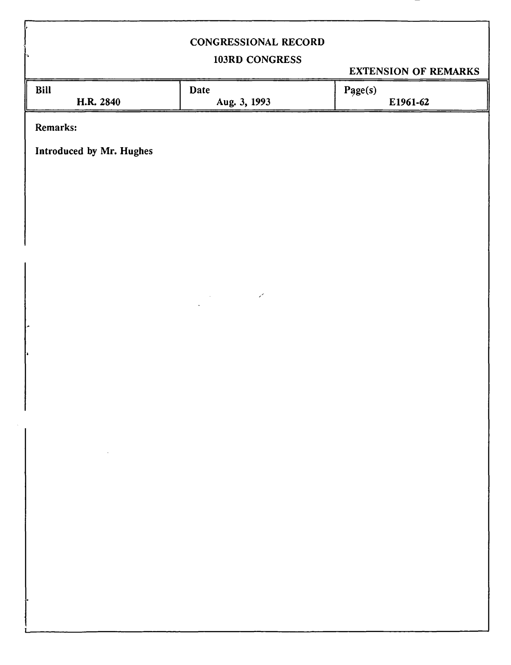## CONGRESSIONAL RECORD

# 103RD CONGRESS

EXTENSION OF REMARKS

|                          |                     | EVERYWHOLE OF REMEMBER |
|--------------------------|---------------------|------------------------|
| Bill                     | <b>Date</b>         | Page(s)                |
| H.R. 2840                | Aug. 3, 1993        | E1961-62               |
|                          |                     |                        |
| Remarks:                 |                     |                        |
|                          |                     |                        |
| Introduced by Mr. Hughes |                     |                        |
|                          |                     |                        |
|                          |                     |                        |
|                          |                     |                        |
|                          |                     |                        |
|                          |                     |                        |
|                          |                     |                        |
|                          |                     |                        |
|                          |                     |                        |
|                          |                     |                        |
|                          |                     |                        |
|                          | $\epsilon^{\prime}$ |                        |
|                          |                     |                        |
|                          |                     |                        |
| $\tilde{\phantom{a}}$    |                     |                        |
|                          |                     |                        |
| $\ddot{\phantom{0}}$     |                     |                        |
|                          |                     |                        |
|                          |                     |                        |
|                          |                     |                        |
|                          |                     |                        |
|                          |                     |                        |
|                          |                     |                        |
| $\sim$                   |                     |                        |
|                          |                     |                        |
|                          |                     |                        |
|                          |                     |                        |
|                          |                     |                        |
|                          |                     |                        |
|                          |                     |                        |
|                          |                     |                        |
|                          |                     |                        |
|                          |                     |                        |
|                          |                     |                        |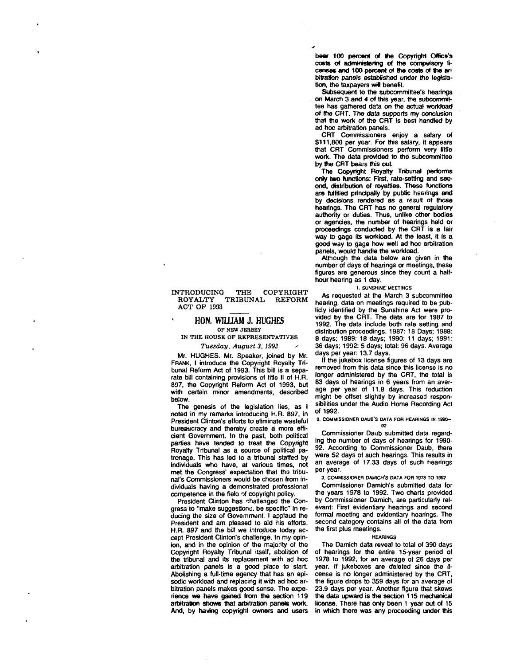bear 100 percent of the Copyright Office's costs of administering of the compulsory licenses and 100 percent of ths costs of the arbitration panels established under the legislation, the taxpayers will benefit.

Subsequent to the subcommittee's hearings . on March 3 and 4 of this year, the subcommittee has gathered data on the actual workload of the CRT. The data supports my conclusion that the work of the CRT is best handled by ad hoc arbitration panels.

CRT Commissioners enjoy a salary of \$111,800 per year. For this salary, it appears that CRT Commissioners perform very little work. The data provided to the subcommittee by the CRT bears this out.

The Copyright Royalty Tribunal performs only two functions: First, rate-setting and second, distribution of royalties. These functions are fulfilled principally by public hearings and by decisions rendered as a result of those hearings. The CRT has no general regulatory authority or duties. Thus, unlike other bodies or agencies, the number of hearings held or proceedings conducted by the CRT is a fair way to gage its workload. At the least. It is a good way to gage how well ad hoc arbitration panels, would handle the workload.

Although the data below are given in the number of days of hearings or meetings, these figures are generous since they count a halfhour hearing as 1 day.

**1. SUNSHINE MEETINGS** 

As requested at the March 3 subcommittee hearing, data on meetings required to be publicly identified by the Sunshine Act were provided by the CRT. The data are for 1987 to 1992. The data include both rate setting and distribution proceedings. 1987: 18 Days; 1988: 8 days; 1989: 18 days; 1990: 11 days; 1991: 36 days; 1992: 5 days; total: 96 days. Average days per year: 13.7 days.

If the jukebox license figures of 13 days are removed from this data since this license is no longer administered by the CRT, the total is 83 days of hearings in 6 years from an average per year of 11.8 days. This reduction might be offset slightly by increased responsibilities under the Audio Home Recording Act of 1992.

**2. COMMISSIONER DAUB'S DATA FOR HEARINGS IN 1990- 92** 

Commissioner Daub submitted data regarding the number of days of hearings for 1990- 92. According to Commissioner Daub, there were 52 days of such hearings. This results in an average of 17.33 days of such hearings per year.

**3. COMMISSIONER DAMICH'S DATA FOR 1978 TO 1992** 

Commissioner Damich's submitted data for the years 1978 to 1992. Two charts provided by Commissioner Damich, are particularly relevant: First evidentiary hearings and second formal meeting and evidentiary hearings. The second category contains all of the data from the first plus meetings.

#### **HEARINGS**

The Damich data reveal to total of 390 days of hearings for the entire 15-year period of 1978 to 1992, for an average of 26 days per year. If jukeboxes are deleted since the license is no longer administered by the CRT, the figure drops to 359 days for an average of 23.9 days per year. Another figure that skews the data upward is the section 115 mechanical license. There has only been 1 year out of 15 in which there was any proceeding under this

### INTRODUCING THE COPYRIGHT ROYALTY TRIBUNAL REFORM ACT OP 1993

### **HON. WILLIAM J. HUGHES OF NEW JERSEY**

**IN THE HOUSE OF REPRESENTATIVES**  *Tuesday, August 3,1993* 

Mr. HUGHES. Mr. Speaker, joined by Mr. FRANK, I introduce the Copyright Royalty Tribunal Reform Act of 1993. This bill is a separate bill containing provisions of title II of H.R. 897, the Copyright Reform Act of 1993, but with certain minor amendments, described below.

The genesis of the legislation lies, as I noted in my remarks introducing H.R. 897, in President Clinton's efforts to eliminate wasteful bureaucracy and thereby create a more efficient Government. In the past, both political parties have tended to treat the Copyright Royalty Tribunal as a source of political patronage. This has led to a tribunal staffed by Individuals who have, at various times, not met the Congress' expectation that the tribunal's Commissioners would be chosen from individuals having a demonstrated professional competence in the field of copyright policy.

President Clinton has challenged the Congress to "make suggestions, be specific" in reducing the size of Government. I applaud the President and am pleased to aid his efforts. H.R. 897 and the bill we introduce today accept President Clinton's challenge. In my opinion, and in the opinion of the majority of the Copyright Royalty Tribunal itself, abolition of the tribunal and its replacement with ad hoc arbitration panels is a good place to start. Abolishing a full-time agency that has an episodic workload and replacing it with ad hoc arbitration panels makes good sense. The experience we have gained from the section 119 arbitration shows that arbitration panels work. And, by having copyright owners and users